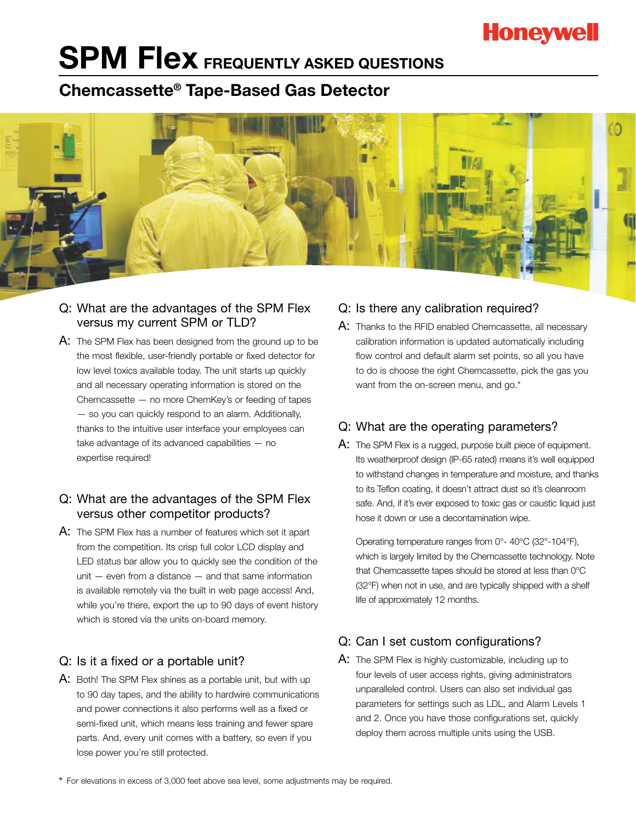# **Honeywell**

# **SPM FIEX FREQUENTLY ASKED QUESTIONS**

## **Chemcassette® Tape-Based Gas Detector**



#### Q: What are the advantages of the SPM Flex versus my current SPM or TLD?

A: The SPM Flex has been designed from the ground up to be the most flexible, user-friendly portable or fixed detector for low level toxics available today. The unit starts up quickly and all necessary operating information is stored on the Chemcassette — no more ChemKey's or feeding of tapes — so you can quickly respond to an alarm. Additionally, thanks to the intuitive user interface your employees can take advantage of its advanced capabilities — no expertise required!

#### Q: What are the advantages of the SPM Flex versus other competitor products?

A: The SPM Flex has a number of features which set it apart from the competition. Its crisp full color LCD display and LED status bar allow you to quickly see the condition of the unit — even from a distance — and that same information is available remotely via the built in web page access! And, while you're there, export the up to 90 days of event history which is stored via the units on-board memory.

#### Q: Is it a fixed or a portable unit?

A: Both! The SPM Flex shines as a portable unit, but with up to 90 day tapes, and the ability to hardwire communications and power connections it also performs well as a fixed or semi-fixed unit, which means less training and fewer spare parts. And, every unit comes with a battery, so even if you lose power you're still protected.

#### Q: Is there any calibration required?

A: Thanks to the RFID enabled Chemcassette, all necessary calibration information is updated automatically including flow control and default alarm set points, so all you have to do is choose the right Chemcassette, pick the gas you want from the on-screen menu, and go.<sup>\*</sup>

#### Q: What are the operating parameters?

A: The SPM Flex is a rugged, purpose built piece of equipment. Its weatherproof design (IP-65 rated) means it's well equipped to withstand changes in temperature and moisture, and thanks to its Teflon coating, it doesn't attract dust so it's cleanroom safe. And, if it's ever exposed to toxic gas or caustic liquid just hose it down or use a decontamination wipe.

Operating temperature ranges from 0°- 40°C (32°-104°F), which is largely limited by the Chemcassette technology. Note that Chemcassette tapes should be stored at less than 0°C (32°F) when not in use, and are typically shipped with a shelf life of approximately 12 months.

### Q: Can I set custom configurations?

A: The SPM Flex is highly customizable, including up to four levels of user access rights, giving administrators unparalleled control. Users can also set individual gas parameters for settings such as LDL, and Alarm Levels 1 and 2. Once you have those configurations set, quickly deploy them across multiple units using the USB.

\* For elevations in excess of 3,000 feet above sea level, some adjustments may be required.